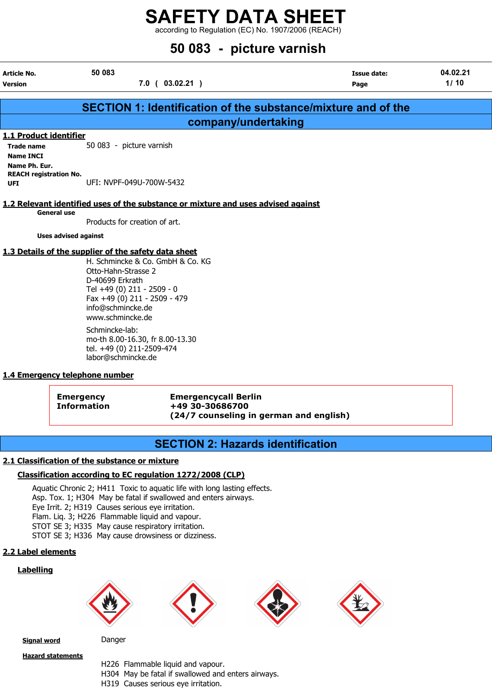according to Regulation (EC) No. 1907/2006 (REACH)

|                                                                 |                                                                                                                                                                                                                                           | 50 083 - picture varnish                                             |                  |
|-----------------------------------------------------------------|-------------------------------------------------------------------------------------------------------------------------------------------------------------------------------------------------------------------------------------------|----------------------------------------------------------------------|------------------|
| Article No.<br><b>Version</b>                                   | 50 083<br>$7.0$ ( 03.02.21 )                                                                                                                                                                                                              | <b>Issue date:</b><br>Page                                           | 04.02.21<br>1/10 |
|                                                                 |                                                                                                                                                                                                                                           | <b>SECTION 1: Identification of the substance/mixture and of the</b> |                  |
|                                                                 |                                                                                                                                                                                                                                           | company/undertaking                                                  |                  |
| 1.1 Product identifier<br><b>Trade name</b><br><b>Name INCI</b> | 50 083 - picture varnish                                                                                                                                                                                                                  |                                                                      |                  |
| Name Ph. Eur.<br><b>REACH registration No.</b><br><b>UFI</b>    | UFI: NVPF-049U-700W-5432                                                                                                                                                                                                                  |                                                                      |                  |
| <b>General use</b>                                              | 1.2 Relevant identified uses of the substance or mixture and uses advised against                                                                                                                                                         |                                                                      |                  |
|                                                                 | Products for creation of art.                                                                                                                                                                                                             |                                                                      |                  |
| <b>Uses advised against</b>                                     |                                                                                                                                                                                                                                           |                                                                      |                  |
|                                                                 | 1.3 Details of the supplier of the safety data sheet<br>H. Schmincke & Co. GmbH & Co. KG<br>Otto-Hahn-Strasse 2<br>D-40699 Erkrath<br>Tel +49 (0) 211 - 2509 - 0<br>Fax +49 (0) 211 - 2509 - 479<br>info@schmincke.de<br>www.schmincke.de |                                                                      |                  |
|                                                                 | Schmincke-lab:<br>mo-th 8.00-16.30, fr 8.00-13.30<br>tel. +49 (0) 211-2509-474<br>labor@schmincke.de                                                                                                                                      |                                                                      |                  |
| 1.4 Emergency telephone number                                  |                                                                                                                                                                                                                                           |                                                                      |                  |
| <b>Emergency</b>                                                | <b>Emergencycall Berlin</b><br>+49 30-30686700<br><b>Information</b>                                                                                                                                                                      |                                                                      |                  |

# SECTION 2: Hazards identification

(24/7 counseling in german and english)

#### 2.1 Classification of the substance or mixture

#### Classification according to EC regulation 1272/2008 (CLP)

Aquatic Chronic 2; H411 Toxic to aquatic life with long lasting effects. Asp. Tox. 1; H304 May be fatal if swallowed and enters airways. Eye Irrit. 2; H319 Causes serious eye irritation. Flam. Liq. 3; H226 Flammable liquid and vapour. STOT SE 3; H335 May cause respiratory irritation. STOT SE 3; H336 May cause drowsiness or dizziness.

#### 2.2 Label elements

#### **Labelling**



Signal word Danger

Hazard statements

H226 Flammable liquid and vapour. H304 May be fatal if swallowed and enters airways. H319 Causes serious eye irritation.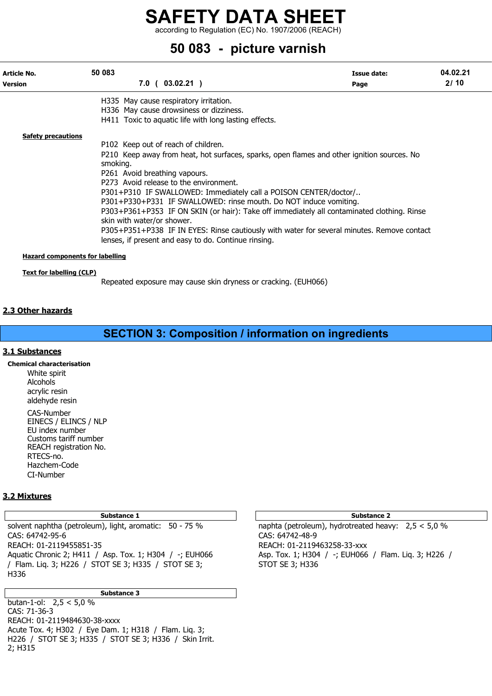according to Regulation (EC) No. 1907/2006 (REACH)

# 50 083 - picture varnish

| Article No.<br><b>Version</b>                                      | 50 083                                                                  | $7.0$ ( 03.02.21 )                                                                                                                                                                                                                                                                                                                                                                                                                                                                                                                                                       | Issue date:<br>Page | 04.02.21<br>2/10 |
|--------------------------------------------------------------------|-------------------------------------------------------------------------|--------------------------------------------------------------------------------------------------------------------------------------------------------------------------------------------------------------------------------------------------------------------------------------------------------------------------------------------------------------------------------------------------------------------------------------------------------------------------------------------------------------------------------------------------------------------------|---------------------|------------------|
|                                                                    |                                                                         | H335 May cause respiratory irritation.<br>H336 May cause drowsiness or dizziness.<br>H411 Toxic to aquatic life with long lasting effects.                                                                                                                                                                                                                                                                                                                                                                                                                               |                     |                  |
| <b>Safety precautions</b>                                          | smoking.<br>P261 Avoid breathing vapours.<br>skin with water/or shower. | P102 Keep out of reach of children.<br>P210 Keep away from heat, hot surfaces, sparks, open flames and other ignition sources. No<br>P273 Avoid release to the environment.<br>P301+P310 IF SWALLOWED: Immediately call a POISON CENTER/doctor/<br>P301+P330+P331 IF SWALLOWED: rinse mouth. Do NOT induce vomiting.<br>P303+P361+P353 IF ON SKIN (or hair): Take off immediately all contaminated clothing. Rinse<br>P305+P351+P338 IF IN EYES: Rinse cautiously with water for several minutes. Remove contact<br>lenses, if present and easy to do. Continue rinsing. |                     |                  |
| <b>Hazard components for labelling</b><br>Text for labelling (CLP) |                                                                         |                                                                                                                                                                                                                                                                                                                                                                                                                                                                                                                                                                          |                     |                  |

Repeated exposure may cause skin dryness or cracking. (EUH066)

#### 2.3 Other hazards

# SECTION 3: Composition / information on ingredients

#### 3.1 Substances

Chemical characterisation

White spirit Alcohols acrylic resin aldehyde resin CAS-Number EINECS / ELINCS / NLP EU index number Customs tariff number REACH registration No.

RTECS-no. Hazchem-Code CI-Number

#### 3.2 Mixtures

Substance 1 Substance 2

solvent naphtha (petroleum), light, aromatic: 50 - 75 % naphta (petroleum), hydrotreated heavy: 2,5 < 5,0 % CAS: 64742-95-6 CAS: 64742-48-9 REACH: 01-2119455851-35 REACH: 01-2119463258-33-xxx Aquatic Chronic 2; H411 / Asp. Tox. 1; H304 / -; EUH066 Asp. Tox. 1; H304 / -; EUH066 / Flam. Liq. 3; H226 / / Flam. Liq. 3; H226 / STOT SE 3; H335 / STOT SE 3; STOT SE 3; H336 H336

Substance 3

butan-1-ol:  $2.5 < 5.0 \%$ CAS: 71-36-3 REACH: 01-2119484630-38-xxxx Acute Tox. 4; H302 / Eye Dam. 1; H318 / Flam. Liq. 3; H226 / STOT SE 3; H335 / STOT SE 3; H336 / Skin Irrit. 2; H315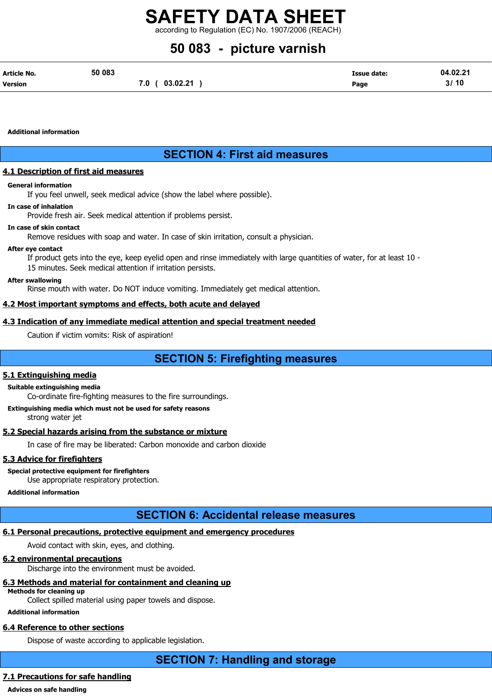according to Regulation (EC) No. 1907/2006 (REACH)

# 50 083 - picture varnish

| Article No.    | 50 083 |                | <b>Issue date:</b> | 04.02.21 |
|----------------|--------|----------------|--------------------|----------|
| <b>Version</b> |        | 7.0 ( 03.02.21 | Page               | 3/10     |

Additional information

# SECTION 4: First aid measures

#### 4.1 Description of first aid measures

#### General information

If you feel unwell, seek medical advice (show the label where possible).

#### In case of inhalation

Provide fresh air. Seek medical attention if problems persist.

#### In case of skin contact

Remove residues with soap and water. In case of skin irritation, consult a physician.

#### After eye contact

If product gets into the eye, keep eyelid open and rinse immediately with large quantities of water, for at least 10 - 15 minutes. Seek medical attention if irritation persists.

#### After swallowing

Rinse mouth with water. Do NOT induce vomiting. Immediately get medical attention.

#### 4.2 Most important symptoms and effects, both acute and delayed

#### 4.3 Indication of any immediate medical attention and special treatment needed

Caution if victim vomits: Risk of aspiration!

# SECTION 5: Firefighting measures

#### 5.1 Extinguishing media

#### Suitable extinguishing media

Co-ordinate fire-fighting measures to the fire surroundings.

#### Extinguishing media which must not be used for safety reasons

strong water jet

### 5.2 Special hazards arising from the substance or mixture

In case of fire may be liberated: Carbon monoxide and carbon dioxide

### 5.3 Advice for firefighters

Special protective equipment for firefighters

Use appropriate respiratory protection.

Additional information

# SECTION 6: Accidental release measures

### 6.1 Personal precautions, protective equipment and emergency procedures

Avoid contact with skin, eyes, and clothing.

### 6.2 environmental precautions

Discharge into the environment must be avoided.

# 6.3 Methods and material for containment and cleaning up

Methods for cleaning up

Collect spilled material using paper towels and dispose.

## Additional information

# 6.4 Reference to other sections

Dispose of waste according to applicable legislation.

SECTION 7: Handling and storage

## 7.1 Precautions for safe handling

Advices on safe handling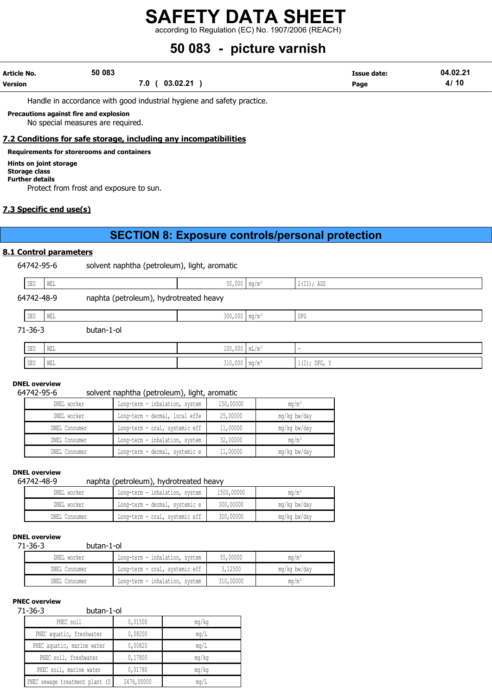according to Regulation (EC) No. 1907/2006 (REACH)

# 50 083 - picture varnish

| Article No.    | 50 083 |                   | Issue date: | 04.02.21 |
|----------------|--------|-------------------|-------------|----------|
| <b>Version</b> |        | 03.02.21<br>7.0 ( | Page        | 4/10     |

Handle in accordance with good industrial hygiene and safety practice.

Precautions against fire and explosion

No special measures are required.

#### 7.2 Conditions for safe storage, including any incompatibilities

Requirements for storerooms and containers

#### Hints on joint storage Storage class

Further details

Protect from frost and exposure to sun.

### 7.3 Specific end use(s)

# SECTION 8: Exposure controls/personal protection

#### 8.1 Control parameters

64742-95-6 solvent naphtha (petroleum), light, aromatic

| DEU        | WEL |                                        | $50,000$ mg/m <sup>3</sup>  | 2(II); AGS     |
|------------|-----|----------------------------------------|-----------------------------|----------------|
| 64742-48-9 |     | naphta (petroleum), hydrotreated heavy |                             |                |
| DEU        | WEL |                                        | $300,000$ mg/m <sup>3</sup> | DFG            |
| 71-36-3    |     | butan-1-ol                             |                             |                |
| DEU        | WEL |                                        | $100,000$ $mL/m^3$          |                |
| DEU        | WEL |                                        | $310,000$ mg/m <sup>3</sup> | $1(I);$ DFG, Y |

## DNEL overview

#### 64742-95-6 solvent naphtha (petroleum), light, aromatic

| DNEL worker   | Long-term - inhalation, system | 150,00000 | $mq/m^3$     |
|---------------|--------------------------------|-----------|--------------|
| DNEL worker   | Long-term - dermal, local effe | 25,00000  | mg/kg bw/day |
| DNEL Consumer | Long-term - oral, systemic eff | 11,00000  | mg/kg bw/day |
| DNEL Consumer | Long-term - inhalation, system | 32,00000  | $mq/m^3$     |
| DNEL Consumer | Long-term - dermal, systemic e | 11,00000  | mg/kg bw/day |

#### DNEL overview

### 64742-48-9 naphta (petroleum), hydrotreated heavy

| DNEL worker   | Long-term - inhalation, system | 1500,00000 | ma/mª        |
|---------------|--------------------------------|------------|--------------|
| DNEL worker   | Long-term - dermal, systemic e | 300,00000  | mg/kg bw/day |
| DNEL Consumer | Long-term - oral, systemic eff | 300,00000  | mg/kg bw/day |

#### DNEL overview

#### 71-36-3 butan-1-ol

| DNEL worker   | Long-term - inhalation, system | 55,00000  | $\text{ma/m}^3$ |
|---------------|--------------------------------|-----------|-----------------|
| DNEL Consumer | Long-term - oral, systemic eff | 3,12500   | mg/kg bw/day    |
| DNEL Consumer | Long-term - inhalation, system | 310,00000 | $\text{ma/m}^3$ |

## PNEC overview

#### 71-36-3 butan-1-ol

| ر ں د<br><b>DUCUT 1 UP</b>      |            |             |  |  |  |
|---------------------------------|------------|-------------|--|--|--|
| PNEC soil                       | 0,01500    | mq/kg       |  |  |  |
| PNEC aquatic, freshwater        | 0,08200    | mq/L        |  |  |  |
| PNEC aquatic, marine water      | 0,00820    | mq/L        |  |  |  |
| PNEC soil, freshwater           | 0,17800    | mq/kg       |  |  |  |
| PNEC soil, marine water         | 0,01780    | mq/kg       |  |  |  |
| PNEC sewage treatment plant (S) | 2476,00000 | $m\alpha/L$ |  |  |  |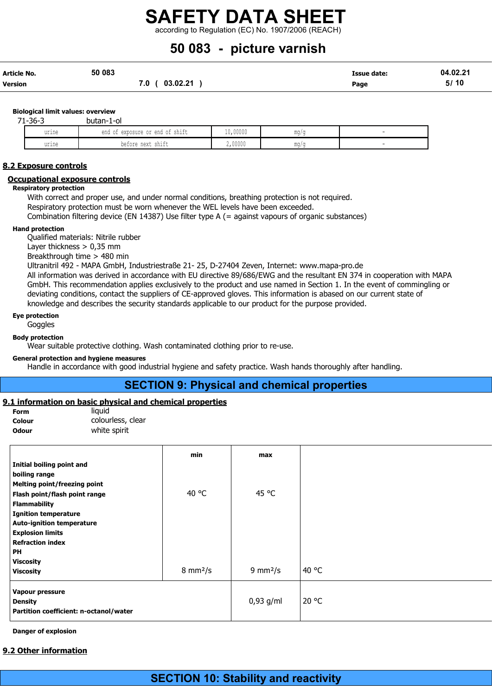according to Regulation (EC) No. 1907/2006 (REACH)

# 50 083 - picture varnish

| <b>Article No.</b> | 50 083          | Issue date: | 04.02.21 |
|--------------------|-----------------|-------------|----------|
| <b>Version</b>     | 03.02.21<br>7.0 | Page        | 5/10     |

Biological limit values: overview

| $71 - 36 - 3$ | butan-1-ol                         |                   |     |  |
|---------------|------------------------------------|-------------------|-----|--|
| urine         | exposure or end of shift<br>end of | 10,00000          | mq/ |  |
| urine         | $\cdots$<br>before next shift      | 00000<br>Z, UUUUU | mq/ |  |

#### 8.2 Exposure controls

#### Occupational exposure controls

#### Respiratory protection

With correct and proper use, and under normal conditions, breathing protection is not required. Respiratory protection must be worn whenever the WEL levels have been exceeded.

Combination filtering device (EN 14387) Use filter type A (= against vapours of organic substances)

#### Hand protection

Qualified materials: Nitrile rubber

Layer thickness > 0,35 mm

Breakthrough time > 480 min

Ultranitril 492 - MAPA GmbH, Industriestraße 21- 25, D-27404 Zeven, Internet: www.mapa-pro.de

All information was derived in accordance with EU directive 89/686/EWG and the resultant EN 374 in cooperation with MAPA GmbH. This recommendation applies exclusively to the product and use named in Section 1. In the event of commingling or deviating conditions, contact the suppliers of CE-approved gloves. This information is abased on our current state of knowledge and describes the security standards applicable to our product for the purpose provided.

#### Eye protection

**Goggles** 

Body protection

Wear suitable protective clothing. Wash contaminated clothing prior to re-use.

#### General protection and hygiene measures

Handle in accordance with good industrial hygiene and safety practice. Wash hands thoroughly after handling.

## SECTION 9: Physical and chemical properties

#### 9.1 information on basic physical and chemical properties

Form liquid

Colour colourless, clear **Odour white spirit** 

|                                        | min                       | max                       |       |
|----------------------------------------|---------------------------|---------------------------|-------|
| Initial boiling point and              |                           |                           |       |
| boiling range                          |                           |                           |       |
| <b>Melting point/freezing point</b>    |                           |                           |       |
| Flash point/flash point range          | 40 °C                     | 45 °C                     |       |
| <b>Flammability</b>                    |                           |                           |       |
| <b>Ignition temperature</b>            |                           |                           |       |
| <b>Auto-ignition temperature</b>       |                           |                           |       |
| <b>Explosion limits</b>                |                           |                           |       |
| <b>Refraction index</b>                |                           |                           |       |
| <b>PH</b>                              |                           |                           |       |
| <b>Viscosity</b>                       |                           |                           |       |
| <b>Viscosity</b>                       | $8 \text{ mm}^2/\text{s}$ | $9 \text{ mm}^2/\text{s}$ | 40 °C |
| Vapour pressure                        |                           |                           |       |
| <b>Density</b>                         |                           | $0,93$ g/ml               | 20 °C |
| Partition coefficient: n-octanol/water |                           |                           |       |

Danger of explosion

#### 9.2 Other information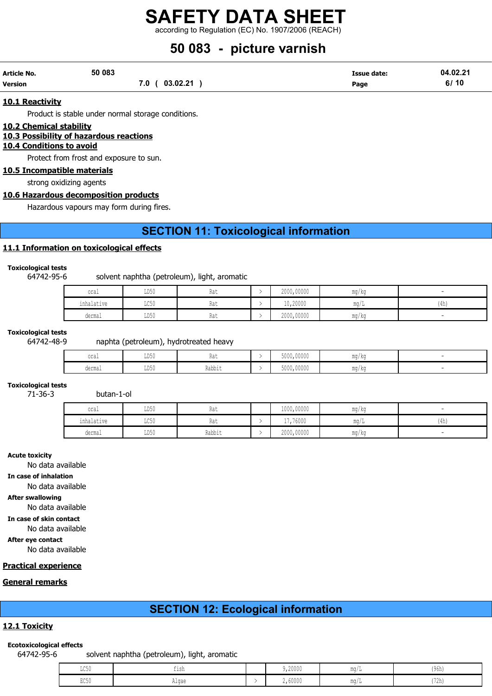according to Regulation (EC) No. 1907/2006 (REACH)

# 50 083 - picture varnish

| Article No. | 50 083            | <b>Issue date:</b> | 04.02.21 |
|-------------|-------------------|--------------------|----------|
| Version     | 03.02.21<br>7.0 ( | Page               | 6/10     |

#### 10.1 Reactivity

Product is stable under normal storage conditions.

#### 10.2 Chemical stability

#### 10.3 Possibility of hazardous reactions

#### 10.4 Conditions to avoid

Protect from frost and exposure to sun.

10.5 Incompatible materials

strong oxidizing agents

#### 10.6 Hazardous decomposition products

Hazardous vapours may form during fires.

# SECTION 11: Toxicological information

#### 11.1 Information on toxicological effects

#### Toxicological tests

#### 64742-95-6 solvent naphtha (petroleum), light, aromatic

| oral       | LD50                    | Rat | 2000,00000 | mg/kg      |      |
|------------|-------------------------|-----|------------|------------|------|
| inhalative | $T \cap E \cap$<br>コレコロ | Kdl | 10,20000   | $m \wedge$ | (4h) |
| dermal     | LD50                    | Rat | 2000,00000 | mg/kg      |      |

#### Toxicological tests

#### 64742-48-9 naphta (petroleum), hydrotreated heavy

| oral   | LD50                    | n.,<br>11 U U         | 5000,00000 | MA ON<br>1114 / MY       |  |
|--------|-------------------------|-----------------------|------------|--------------------------|--|
| dermal | T <sub>DR</sub><br>∪∪עע | -<br>99h<br>T/ann T r | 5000,00000 | $m \sim$<br>111.U / 17.U |  |

### Toxicological tests

71-36-3 butan-1-ol

| oral       | LD50 | Rat    | 1000,00000 | $\overline{\phantom{a}}$<br>ma/ka |                           |
|------------|------|--------|------------|-----------------------------------|---------------------------|
| inhalative | LC50 | Rat    | 17,76000   | $m\alpha$                         | 11 <sub>h</sub><br>l 411) |
| dermal     | LD50 | Rabbit | 2000,00000 | mg/kg                             |                           |

#### Acute toxicity

No data available

#### In case of inhalation

No data available

#### After swallowing

No data available

In case of skin contact

No data availabl

#### After eye contact

No data availabl

#### Practical experience

#### General remarks

## SECTION 12: Ecological information

#### 12.1 Toxicity

#### Ecotoxicological effects

64742-95-6 solvent naphtha (petroleum), light, aromatic

| LC50 | $-1$<br>$+1$ ch<br>--- | 9,20000 | $m \sim$        | (96h)                    |
|------|------------------------|---------|-----------------|--------------------------|
| EC50 | Alqae                  | 2,60000 | MA ALL<br>TIM L | 179k<br>' <i>' L</i> II) |

| ∽<br>๛                        |  |  |  |
|-------------------------------|--|--|--|
|                               |  |  |  |
| $\overline{\phantom{a}}$<br>~ |  |  |  |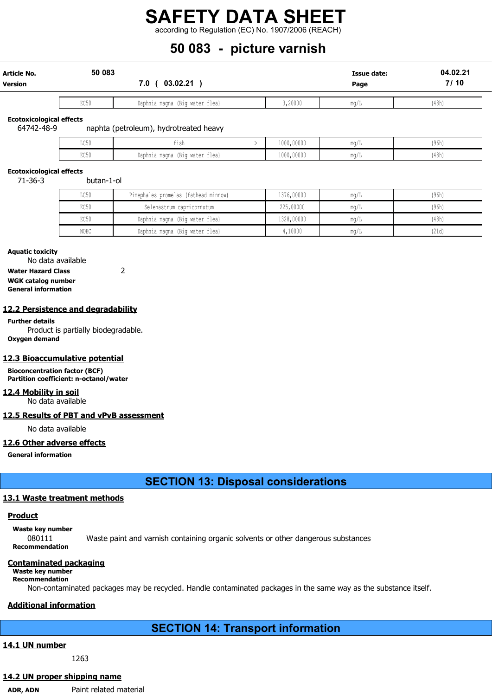according to Regulation (EC) No. 1907/2006 (REACH)

# 50 083 - picture varnish

| Article No.<br><b>Version</b> | 50 083<br>03.02.21<br>7.0∴ |                                |         | <b>Issue date:</b><br>Page | 04.02.21<br>7/10 |
|-------------------------------|----------------------------|--------------------------------|---------|----------------------------|------------------|
|                               |                            |                                |         |                            |                  |
|                               | EC50                       | Daphnia magna (Big water flea) | 3,20000 | mg/L                       | (48h)            |

Ecotoxicological effects<br>64742-48-9 naphta (petroleum), hydrotreated heavy

| $T \cap E \cap$<br>せいりり | $ -$<br>ᆂᆂᅙᆄ                                  | 1000,00000 | <b>MA AR</b><br><b>ILLW</b> / <b>I</b> | (96h) |
|-------------------------|-----------------------------------------------|------------|----------------------------------------|-------|
| <b>DOEA</b><br>いしつい     | $-$<br>.<br>Daphnia magna<br>(Big water flea) | 1000,00000 | ma a<br>11 W 7                         | (48h) |

#### Ecotoxicological effects

71-36-3 butan-1-ol

| LC50 | Pimephales promelas (fathead minnow) | 1376,00000 | mq/1        | (96h) |
|------|--------------------------------------|------------|-------------|-------|
| EC50 | Selenastrum capricornutum            | 225,00000  | mq/1        | (96h) |
| EC50 | Daphnia magna (Big water flea)       | 1328,00000 | mq/I        | (48h) |
| NOEC | Daphnia magna (Big water flea)       | ,10000     | $m\alpha/I$ | (21d) |

#### Aquatic toxicity

No data available Water Hazard Class 2

WGK catalog number General information

#### 12.2 Persistence and degradability

Further details Product is partially biodegradable. Oxygen demand

#### 12.3 Bioaccumulative potential

Bioconcentration factor (BCF) Partition coefficient: n-octanol/water

#### 12.4 Mobility in soil

No data available

#### 12.5 Results of PBT and vPvB assessment

No data available

#### 12.6 Other adverse effects

General information

SECTION 13: Disposal considerations

#### 13.1 Waste treatment methods

#### **Product**

Waste key number 080111 Waste paint and varnish containing organic solvents or other dangerous substances Recommendation

#### Contaminated packaging

Waste key number Recommendation

Non-contaminated packages may be recycled. Handle contaminated packages in the same way as the substance itself.

#### Additional information

# SECTION 14: Transport information

## 14.1 UN number

1263

#### 14.2 UN proper shipping name

ADR, ADN Paint related material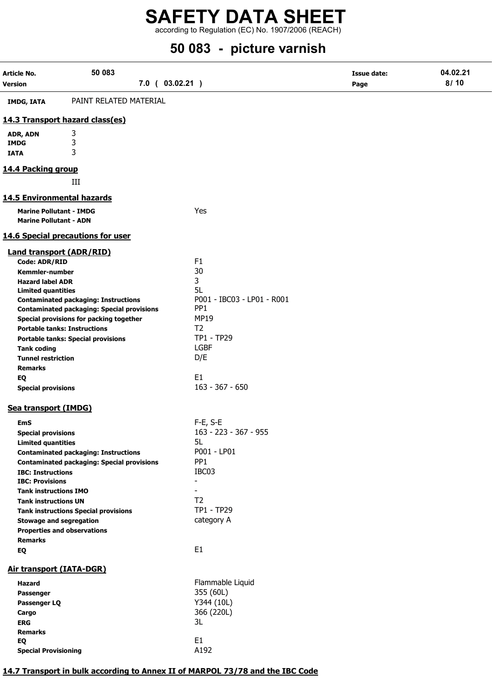according to Regulation (EC) No. 1907/2006 (REACH)

# 50 083 - picture varnish

| Article No.                                            | 50 083                                                                         |                              | <b>Issue date:</b> | 04.02.21 |
|--------------------------------------------------------|--------------------------------------------------------------------------------|------------------------------|--------------------|----------|
| <b>Version</b>                                         | 7.0 ( 03.02.21 )                                                               |                              | Page               | 8/10     |
| <b>IMDG, IATA</b>                                      | PAINT RELATED MATERIAL                                                         |                              |                    |          |
|                                                        | 14.3 Transport hazard class(es)                                                |                              |                    |          |
| ADR, ADN                                               | 3                                                                              |                              |                    |          |
| <b>IMDG</b>                                            | 3                                                                              |                              |                    |          |
| <b>IATA</b>                                            | 3                                                                              |                              |                    |          |
|                                                        |                                                                                |                              |                    |          |
| 14.4 Packing group                                     |                                                                                |                              |                    |          |
|                                                        | III                                                                            |                              |                    |          |
|                                                        | <b>14.5 Environmental hazards</b>                                              |                              |                    |          |
|                                                        | <b>Marine Pollutant - IMDG</b>                                                 | Yes                          |                    |          |
| <b>Marine Pollutant - ADN</b>                          |                                                                                |                              |                    |          |
|                                                        | 14.6 Special precautions for user                                              |                              |                    |          |
|                                                        | <b>Land transport (ADR/RID)</b>                                                |                              |                    |          |
| Code: ADR/RID                                          |                                                                                | F <sub>1</sub>               |                    |          |
| <b>Kemmler-number</b>                                  |                                                                                | 30                           |                    |          |
| <b>Hazard label ADR</b>                                |                                                                                | 3                            |                    |          |
| <b>Limited quantities</b>                              |                                                                                | 5L                           |                    |          |
|                                                        | <b>Contaminated packaging: Instructions</b>                                    | P001 - IBC03 - LP01 - R001   |                    |          |
|                                                        | <b>Contaminated packaging: Special provisions</b>                              | PP <sub>1</sub><br>MP19      |                    |          |
|                                                        | Special provisions for packing together<br><b>Portable tanks: Instructions</b> | T <sub>2</sub>               |                    |          |
|                                                        | <b>Portable tanks: Special provisions</b>                                      | TP1 - TP29                   |                    |          |
| <b>Tank coding</b>                                     |                                                                                | <b>LGBF</b>                  |                    |          |
| <b>Tunnel restriction</b>                              |                                                                                | D/E                          |                    |          |
| <b>Remarks</b>                                         |                                                                                |                              |                    |          |
| EQ                                                     |                                                                                | E1                           |                    |          |
| <b>Special provisions</b>                              |                                                                                | $163 - 367 - 650$            |                    |          |
| Sea transport (IMDG)                                   |                                                                                |                              |                    |          |
|                                                        |                                                                                |                              |                    |          |
| <b>EmS</b>                                             |                                                                                | $F-E$ , S-E                  |                    |          |
| <b>Special provisions</b><br><b>Limited quantities</b> |                                                                                | 163 - 223 - 367 - 955<br>5L  |                    |          |
|                                                        | <b>Contaminated packaging: Instructions</b>                                    | P001 - LP01                  |                    |          |
|                                                        | <b>Contaminated packaging: Special provisions</b>                              | PP <sub>1</sub>              |                    |          |
| <b>IBC: Instructions</b>                               |                                                                                | IBC03                        |                    |          |
| <b>IBC: Provisions</b>                                 |                                                                                | $\qquad \qquad \blacksquare$ |                    |          |
| <b>Tank instructions IMO</b>                           |                                                                                |                              |                    |          |
| <b>Tank instructions UN</b>                            |                                                                                | T <sub>2</sub>               |                    |          |
|                                                        | <b>Tank instructions Special provisions</b>                                    | TP1 - TP29                   |                    |          |
|                                                        | <b>Stowage and segregation</b>                                                 | category A                   |                    |          |
|                                                        | <b>Properties and observations</b>                                             |                              |                    |          |
| <b>Remarks</b>                                         |                                                                                | E1                           |                    |          |
| EQ                                                     |                                                                                |                              |                    |          |
|                                                        | Air transport (IATA-DGR)                                                       |                              |                    |          |
| <b>Hazard</b>                                          |                                                                                | Flammable Liquid             |                    |          |
| Passenger                                              |                                                                                | 355 (60L)                    |                    |          |
| Passenger LQ                                           |                                                                                | Y344 (10L)                   |                    |          |
| Cargo                                                  |                                                                                | 366 (220L)                   |                    |          |
| <b>ERG</b>                                             |                                                                                | 3L                           |                    |          |
| <b>Remarks</b>                                         |                                                                                |                              |                    |          |
| EQ                                                     |                                                                                | E <sub>1</sub><br>A192       |                    |          |
| <b>Special Provisioning</b>                            |                                                                                |                              |                    |          |

### 14.7 Transport in bulk according to Annex II of MARPOL 73/78 and the IBC Code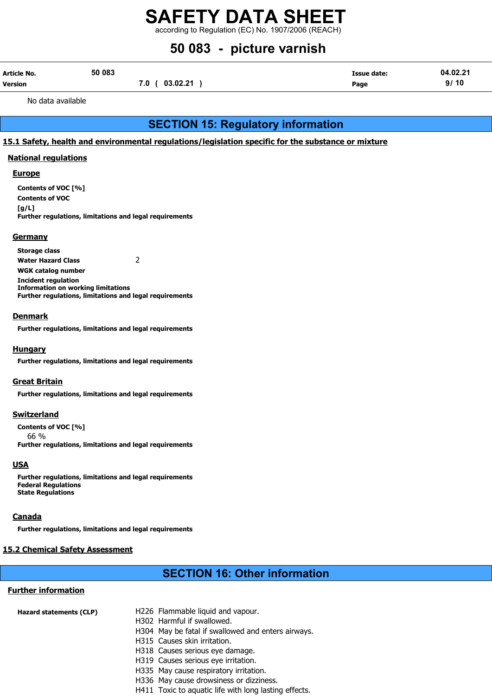according to Regulation (EC) No. 1907/2006 (REACH)

# 50 083 - picture varnish

| Article No.    | 50 083 |                   | Issue date: | 04.02.21 |
|----------------|--------|-------------------|-------------|----------|
| <b>Version</b> |        | (03.02.21)<br>7.0 | Page        | 9/10     |

No data available

# SECTION 15: Regulatory information

#### 15.1 Safety, health and environmental regulations/legislation specific for the substance or mixture

#### National regulations

#### **Europe**

Contents of VOC [%] Contents of VOC  $[g/L]$ Further regulations, limitations and legal requirements

#### **Germany**

Storage class Water Hazard Class 2 WGK catalog number Incident regulation Information on working limitations Further regulations, limitations and legal requirements

#### **Denmark**

Further regulations, limitations and legal requirements

#### Hungary

Further regulations, limitations and legal requirements

#### **Great Britain**

Further regulations, limitations and legal requirements

#### **Switzerland**

Contents of VOC [%] 66 % Further regulations, limitations and legal requirements

#### **USA**

Further regulations, limitations and legal requirements Federal Regulations State Regulations

#### Canada

Further regulations, limitations and legal requirements

### 15.2 Chemical Safety Assessment

# SECTION 16: Other information

### Further information

| <b>Hazard statements (CLP)</b> | H226 Flammable liquid and vapour.                  |
|--------------------------------|----------------------------------------------------|
|                                | H302 Harmful if swallowed.                         |
|                                | H304 May be fatal if swallowed and enters airways. |
|                                | H315 Causes skin irritation.                       |
|                                | H318 Causes serious eye damage.                    |
|                                | H319 Causes serious eye irritation.                |
|                                | H335 May cause respiratory irritation.             |
|                                | H336 May cause drowsiness or dizziness.            |

H411 Toxic to aquatic life with long lasting effects.